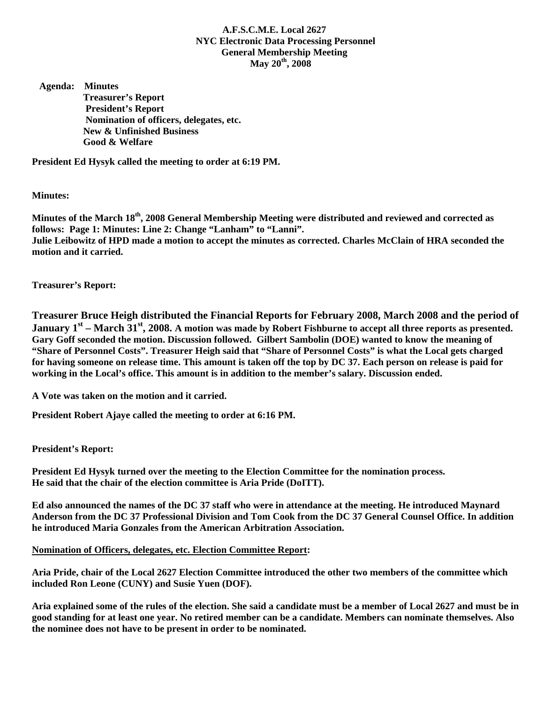## **A.F.S.C.M.E. Local 2627 NYC Electronic Data Processing Personnel General Membership Meeting May 20th, 2008**

 **Agenda: Minutes Treasurer's Report President's Report Nomination of officers, delegates, etc. New & Unfinished Business Good & Welfare** 

**President Ed Hysyk called the meeting to order at 6:19 PM.** 

**Minutes:** 

**Minutes of the March 18th, 2008 General Membership Meeting were distributed and reviewed and corrected as follows: Page 1: Minutes: Line 2: Change "Lanham" to "Lanni". Julie Leibowitz of HPD made a motion to accept the minutes as corrected. Charles McClain of HRA seconded the motion and it carried.** 

**Treasurer's Report:** 

**Treasurer Bruce Heigh distributed the Financial Reports for February 2008, March 2008 and the period of January 1<sup>st</sup> – March 31<sup>st</sup>, 2008. A motion was made by Robert Fishburne to accept all three reports as presented. Gary Goff seconded the motion. Discussion followed. Gilbert Sambolin (DOE) wanted to know the meaning of "Share of Personnel Costs". Treasurer Heigh said that "Share of Personnel Costs" is what the Local gets charged for having someone on release time. This amount is taken off the top by DC 37. Each person on release is paid for working in the Local's office. This amount is in addition to the member's salary. Discussion ended.** 

**A Vote was taken on the motion and it carried.** 

**President Robert Ajaye called the meeting to order at 6:16 PM.** 

**President's Report:** 

**President Ed Hysyk turned over the meeting to the Election Committee for the nomination process. He said that the chair of the election committee is Aria Pride (DoITT).** 

**Ed also announced the names of the DC 37 staff who were in attendance at the meeting. He introduced Maynard Anderson from the DC 37 Professional Division and Tom Cook from the DC 37 General Counsel Office. In addition he introduced Maria Gonzales from the American Arbitration Association.** 

## **Nomination of Officers, delegates, etc. Election Committee Report:**

**Aria Pride, chair of the Local 2627 Election Committee introduced the other two members of the committee which included Ron Leone (CUNY) and Susie Yuen (DOF).** 

**Aria explained some of the rules of the election. She said a candidate must be a member of Local 2627 and must be in good standing for at least one year. No retired member can be a candidate. Members can nominate themselves. Also the nominee does not have to be present in order to be nominated.**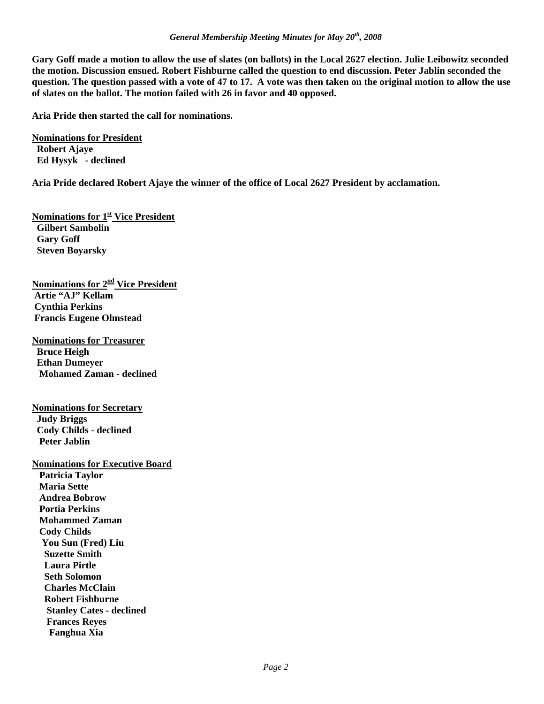**Gary Goff made a motion to allow the use of slates (on ballots) in the Local 2627 election. Julie Leibowitz seconded the motion. Discussion ensued. Robert Fishburne called the question to end discussion. Peter Jablin seconded the question. The question passed with a vote of 47 to 17. A vote was then taken on the original motion to allow the use of slates on the ballot. The motion failed with 26 in favor and 40 opposed.** 

**Aria Pride then started the call for nominations.** 

**Nominations for President Robert Ajaye Ed Hysyk - declined** 

**Aria Pride declared Robert Ajaye the winner of the office of Local 2627 President by acclamation.** 

**Nominations for 1st Vice President Gilbert Sambolin Gary Goff Steven Boyarsky** 

**Nominations for 2nd Vice President Artie "AJ" Kellam Cynthia Perkins Francis Eugene Olmstead** 

**Nominations for Treasurer Bruce Heigh Ethan Dumeyer Mohamed Zaman - declined** 

**Nominations for Secretary Judy Briggs Cody Childs - declined Peter Jablin** 

**Nominations for Executive Board Patricia Taylor Maria Sette Andrea Bobrow Portia Perkins Mohammed Zaman Cody Childs You Sun (Fred) Liu Suzette Smith Laura Pirtle Seth Solomon Charles McClain Robert Fishburne Stanley Cates - declined Frances Reyes Fanghua Xia**